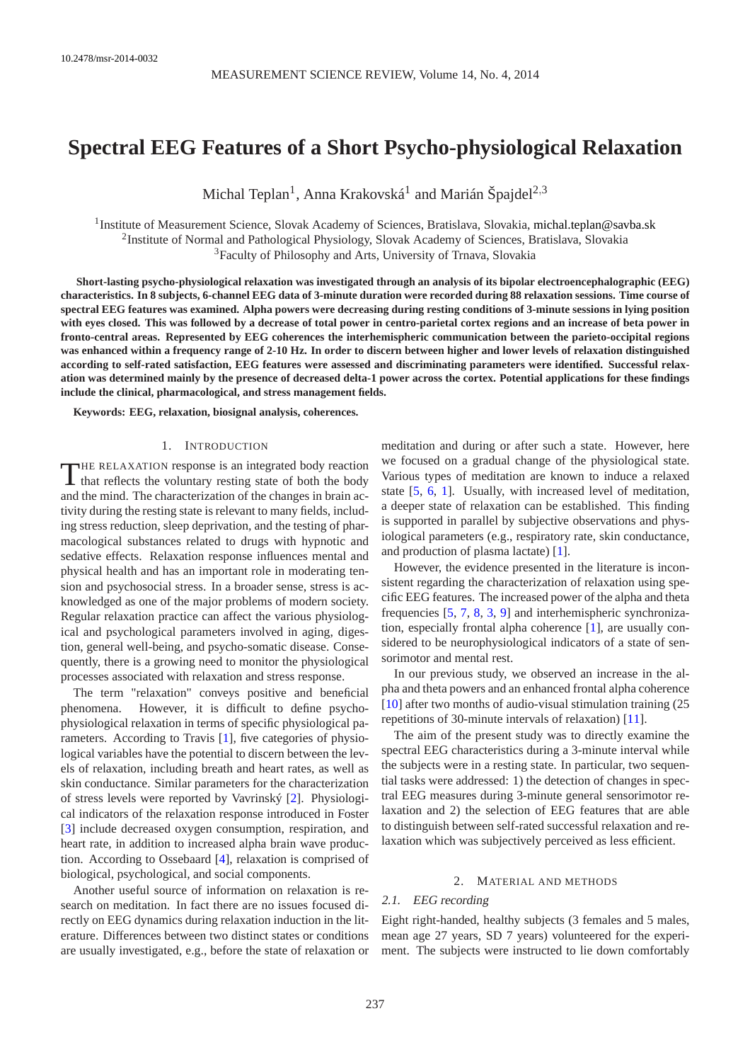# **Spectral EEG Features of a Short Psycho-physiological Relaxation**

Michal Teplan<sup>1</sup>, Anna Krakovská<sup>1</sup> and Marián Špajdel<sup>2,3</sup>

<sup>1</sup>Institute of Measurement Science, Slovak Academy of Sciences, Bratislava, Slovakia, [michal.teplan@savba.sk](mailto:michal.teplan@savba.sk) <sup>2</sup>Institute of Normal and Pathological Physiology, Slovak Academy of Sciences, Bratislava, Slovakia <sup>3</sup>Faculty of Philosophy and Arts, University of Trnava, Slovakia

**Short-lasting psycho-physiological relaxation was investigated through an analysis of its bipolar electroencephalographic (EEG) characteristics. In 8 subjects, 6-channel EEG data of 3-minute duration were recorded during 88 relaxation sessions. Time course of spectral EEG features was examined. Alpha powers were decreasing during resting conditions of 3-minute sessions in lying position with eyes closed. This was followed by a decrease of total power in centro-parietal cortex regions and an increase of beta power in fronto-central areas. Represented by EEG coherences the interhemispheric communication between the parieto-occipital regions was enhanced within a frequency range of 2-10 Hz. In order to discern between higher and lower levels of relaxation distinguished according to self-rated satisfaction, EEG features were assessed and discriminating parameters were identified. Successful relaxation was determined mainly by the presence of decreased delta-1 power across the cortex. Potential applications for these findings include the clinical, pharmacological, and stress management fields.**

**Keywords: EEG, relaxation, biosignal analysis, coherences.**

## 1. INTRODUCTION

THE RELAXATION response is an integrated body reaction<br>that reflects the voluntary resting state of both the body **HE RELAXATION response is an integrated body reaction** and the mind. The characterization of the changes in brain activity during the resting state is relevant to many fields, including stress reduction, sleep deprivation, and the testing of pharmacological substances related to drugs with hypnotic and sedative effects. Relaxation response influences mental and physical health and has an important role in moderating tension and psychosocial stress. In a broader sense, stress is acknowledged as one of the major problems of modern society. Regular relaxation practice can affect the various physiological and psychological parameters involved in aging, digestion, general well-being, and psycho-somatic disease. Consequently, there is a growing need to monitor the physiological processes associated with relaxation and stress response.

The term "relaxation" conveys positive and beneficial phenomena. However, it is difficult to define psychophysiological relaxation in terms of specific physiological parameters. According to Travis [\[1\]](#page-5-0), five categories of physiological variables have the potential to discern between the levels of relaxation, including breath and heart rates, as well as skin conductance. Similar parameters for the characterization of stress levels were reported by Vavrinský [\[2\]](#page-5-1). Physiological indicators of the relaxation response introduced in Foster [\[3\]](#page-5-2) include decreased oxygen consumption, respiration, and heart rate, in addition to increased alpha brain wave production. According to Ossebaard [\[4\]](#page-5-3), relaxation is comprised of biological, psychological, and social components.

Another useful source of information on relaxation is research on meditation. In fact there are no issues focused directly on EEG dynamics during relaxation induction in the literature. Differences between two distinct states or conditions are usually investigated, e.g., before the state of relaxation or meditation and during or after such a state. However, here we focused on a gradual change of the physiological state. Various types of meditation are known to induce a relaxed state [\[5,](#page-5-4) [6,](#page-5-5) [1\]](#page-5-0). Usually, with increased level of meditation, a deeper state of relaxation can be established. This finding is supported in parallel by subjective observations and physiological parameters (e.g., respiratory rate, skin conductance, and production of plasma lactate) [\[1\]](#page-5-0).

However, the evidence presented in the literature is inconsistent regarding the characterization of relaxation using specific EEG features. The increased power of the alpha and theta frequencies [\[5,](#page-5-4) [7,](#page-5-6) [8,](#page-5-7) [3,](#page-5-2) [9\]](#page-5-8) and interhemispheric synchronization, especially frontal alpha coherence [\[1\]](#page-5-0), are usually considered to be neurophysiological indicators of a state of sensorimotor and mental rest.

In our previous study, we observed an increase in the alpha and theta powers and an enhanced frontal alpha coherence [\[10\]](#page-5-9) after two months of audio-visual stimulation training (25 repetitions of 30-minute intervals of relaxation) [\[11\]](#page-5-10).

The aim of the present study was to directly examine the spectral EEG characteristics during a 3-minute interval while the subjects were in a resting state. In particular, two sequential tasks were addressed: 1) the detection of changes in spectral EEG measures during 3-minute general sensorimotor relaxation and 2) the selection of EEG features that are able to distinguish between self-rated successful relaxation and relaxation which was subjectively perceived as less efficient.

## 2. MATERIAL AND METHODS

# 2.1. EEG recording

Eight right-handed, healthy subjects (3 females and 5 males, mean age 27 years, SD 7 years) volunteered for the experiment. The subjects were instructed to lie down comfortably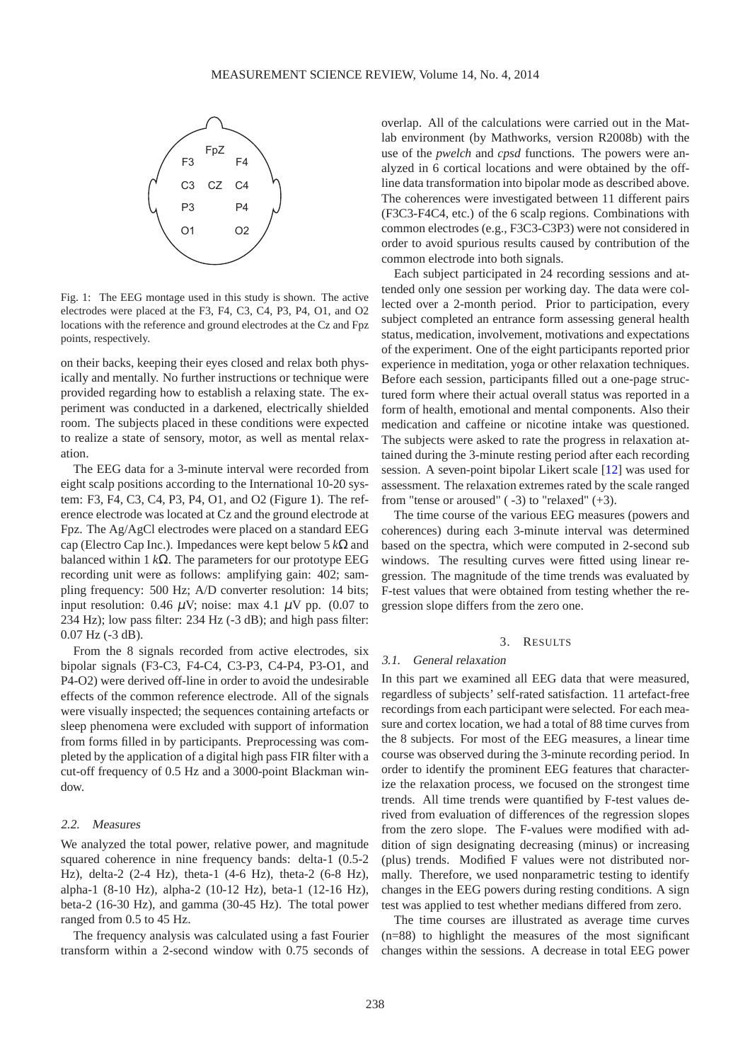<span id="page-1-0"></span>

Fig. 1: The EEG montage used in this study is shown. The active electrodes were placed at the F3, F4, C3, C4, P3, P4, O1, and O2 locations with the reference and ground electrodes at the Cz and Fpz points, respectively.

on their backs, keeping their eyes closed and relax both physically and mentally. No further instructions or technique were provided regarding how to establish a relaxing state. The experiment was conducted in a darkened, electrically shielded room. The subjects placed in these conditions were expected to realize a state of sensory, motor, as well as mental relaxation.

The EEG data for a 3-minute interval were recorded from eight scalp positions according to the International 10-20 system: F3, F4, C3, C4, P3, P4, O1, and O2 (Figure [1\)](#page-1-0). The reference electrode was located at Cz and the ground electrode at Fpz. The Ag/AgCl electrodes were placed on a standard EEG cap (Electro Cap Inc.). Impedances were kept below 5 *k*Ω and balanced within 1 *k*Ω. The parameters for our prototype EEG recording unit were as follows: amplifying gain: 402; sampling frequency: 500 Hz; A/D converter resolution: 14 bits; input resolution: 0.46  $\mu$ V; noise: max 4.1  $\mu$ V pp. (0.07 to 234 Hz); low pass filter: 234 Hz (-3 dB); and high pass filter: 0.07 Hz (-3 dB).

From the 8 signals recorded from active electrodes, six bipolar signals (F3-C3, F4-C4, C3-P3, C4-P4, P3-O1, and P4-O2) were derived off-line in order to avoid the undesirable effects of the common reference electrode. All of the signals were visually inspected; the sequences containing artefacts or sleep phenomena were excluded with support of information from forms filled in by participants. Preprocessing was completed by the application of a digital high pass FIR filter with a cut-off frequency of 0.5 Hz and a 3000-point Blackman window.

## 2.2. Measures

We analyzed the total power, relative power, and magnitude squared coherence in nine frequency bands: delta-1 (0.5-2 Hz), delta-2 (2-4 Hz), theta-1 (4-6 Hz), theta-2 (6-8 Hz), alpha-1 (8-10 Hz), alpha-2 (10-12 Hz), beta-1 (12-16 Hz), beta-2 (16-30 Hz), and gamma (30-45 Hz). The total power ranged from 0.5 to 45 Hz.

The frequency analysis was calculated using a fast Fourier transform within a 2-second window with 0.75 seconds of

overlap. All of the calculations were carried out in the Matlab environment (by Mathworks, version R2008b) with the use of the *pwelch* and *cpsd* functions. The powers were analyzed in 6 cortical locations and were obtained by the offline data transformation into bipolar mode as described above. The coherences were investigated between 11 different pairs (F3C3-F4C4, etc.) of the 6 scalp regions. Combinations with common electrodes (e.g., F3C3-C3P3) were not considered in order to avoid spurious results caused by contribution of the common electrode into both signals.

Each subject participated in 24 recording sessions and attended only one session per working day. The data were collected over a 2-month period. Prior to participation, every subject completed an entrance form assessing general health status, medication, involvement, motivations and expectations of the experiment. One of the eight participants reported prior experience in meditation, yoga or other relaxation techniques. Before each session, participants filled out a one-page structured form where their actual overall status was reported in a form of health, emotional and mental components. Also their medication and caffeine or nicotine intake was questioned. The subjects were asked to rate the progress in relaxation attained during the 3-minute resting period after each recording session. A seven-point bipolar Likert scale [\[12\]](#page-5-11) was used for assessment. The relaxation extremes rated by the scale ranged from "tense or aroused"  $(-3)$  to "relaxed"  $(+3)$ .

The time course of the various EEG measures (powers and coherences) during each 3-minute interval was determined based on the spectra, which were computed in 2-second sub windows. The resulting curves were fitted using linear regression. The magnitude of the time trends was evaluated by F-test values that were obtained from testing whether the regression slope differs from the zero one.

# 3. RESULTS

#### 3.1. General relaxation

In this part we examined all EEG data that were measured, regardless of subjects' self-rated satisfaction. 11 artefact-free recordings from each participant were selected. For each measure and cortex location, we had a total of 88 time curves from the 8 subjects. For most of the EEG measures, a linear time course was observed during the 3-minute recording period. In order to identify the prominent EEG features that characterize the relaxation process, we focused on the strongest time trends. All time trends were quantified by F-test values derived from evaluation of differences of the regression slopes from the zero slope. The F-values were modified with addition of sign designating decreasing (minus) or increasing (plus) trends. Modified F values were not distributed normally. Therefore, we used nonparametric testing to identify changes in the EEG powers during resting conditions. A sign test was applied to test whether medians differed from zero.

The time courses are illustrated as average time curves (n=88) to highlight the measures of the most significant changes within the sessions. A decrease in total EEG power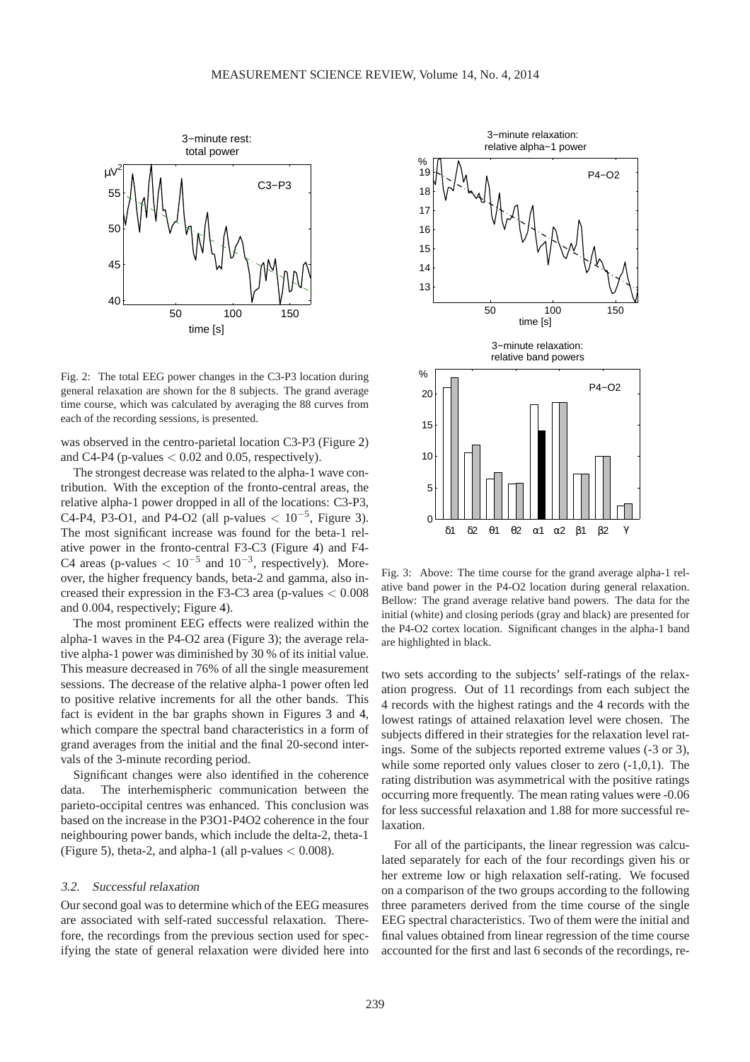<span id="page-2-0"></span>

Fig. 2: The total EEG power changes in the C3-P3 location during general relaxation are shown for the 8 subjects. The grand average time course, which was calculated by averaging the 88 curves from each of the recording sessions, is presented.

was observed in the centro-parietal location C3-P3 (Figure [2\)](#page-2-0) and C4-P4 (p-values  $< 0.02$  and 0.05, respectively).

The strongest decrease was related to the alpha-1 wave contribution. With the exception of the fronto-central areas, the relative alpha-1 power dropped in all of the locations: C3-P3, C4-P4, P3-O1, and P4-O2 (all p-values  $< 10^{-5}$ , Figure [3\)](#page-2-1). The most significant increase was found for the beta-1 relative power in the fronto-central F3-C3 (Figure [4\)](#page-3-0) and F4- C4 areas (p-values  $< 10^{-5}$  and  $10^{-3}$ , respectively). Moreover, the higher frequency bands, beta-2 and gamma, also increased their expression in the F3-C3 area (p-values  $< 0.008$ ) and 0.004, respectively; Figure [4\)](#page-3-0).

The most prominent EEG effects were realized within the alpha-1 waves in the P4-O2 area (Figure [3\)](#page-2-1); the average relative alpha-1 power was diminished by 30 % of its initial value. This measure decreased in 76% of all the single measurement sessions. The decrease of the relative alpha-1 power often led to positive relative increments for all the other bands. This fact is evident in the bar graphs shown in Figures [3](#page-2-1) and [4,](#page-3-0) which compare the spectral band characteristics in a form of grand averages from the initial and the final 20-second intervals of the 3-minute recording period.

Significant changes were also identified in the coherence data. The interhemispheric communication between the parieto-occipital centres was enhanced. This conclusion was based on the increase in the P3O1-P4O2 coherence in the four neighbouring power bands, which include the delta-2, theta-1 (Figure [5\)](#page-3-1), theta-2, and alpha-1 (all p-values  $< 0.008$ ).

## 3.2. Successful relaxation

Our second goal was to determine which of the EEG measures are associated with self-rated successful relaxation. Therefore, the recordings from the previous section used for specifying the state of general relaxation were divided here into

<span id="page-2-1"></span>

Fig. 3: Above: The time course for the grand average alpha-1 relative band power in the P4-O2 location during general relaxation. Bellow: The grand average relative band powers. The data for the initial (white) and closing periods (gray and black) are presented for the P4-O2 cortex location. Significant changes in the alpha-1 band are highlighted in black.

two sets according to the subjects' self-ratings of the relaxation progress. Out of 11 recordings from each subject the 4 records with the highest ratings and the 4 records with the lowest ratings of attained relaxation level were chosen. The subjects differed in their strategies for the relaxation level ratings. Some of the subjects reported extreme values (-3 or 3), while some reported only values closer to zero  $(-1,0,1)$ . The rating distribution was asymmetrical with the positive ratings occurring more frequently. The mean rating values were -0.06 for less successful relaxation and 1.88 for more successful relaxation.

For all of the participants, the linear regression was calculated separately for each of the four recordings given his or her extreme low or high relaxation self-rating. We focused on a comparison of the two groups according to the following three parameters derived from the time course of the single EEG spectral characteristics. Two of them were the initial and final values obtained from linear regression of the time course accounted for the first and last 6 seconds of the recordings, re-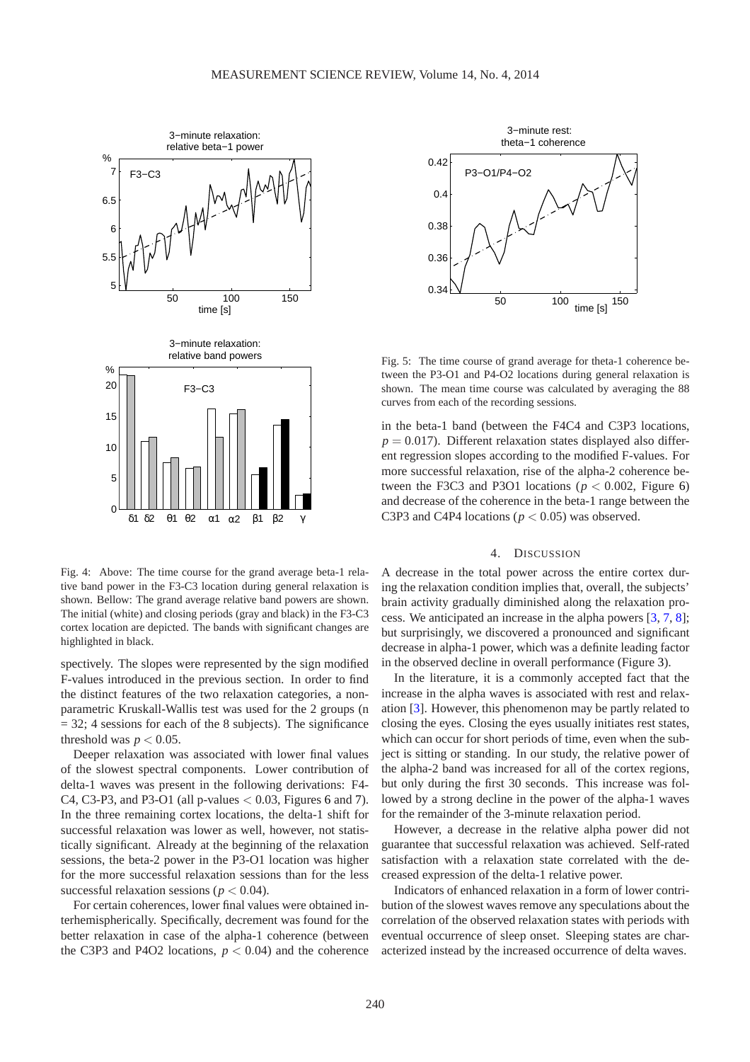<span id="page-3-0"></span>

Fig. 4: Above: The time course for the grand average beta-1 relative band power in the F3-C3 location during general relaxation is shown. Bellow: The grand average relative band powers are shown. The initial (white) and closing periods (gray and black) in the F3-C3 cortex location are depicted. The bands with significant changes are highlighted in black.

spectively. The slopes were represented by the sign modified F-values introduced in the previous section. In order to find the distinct features of the two relaxation categories, a nonparametric Kruskall-Wallis test was used for the 2 groups (n  $= 32$ ; 4 sessions for each of the 8 subjects). The significance threshold was  $p < 0.05$ .

Deeper relaxation was associated with lower final values of the slowest spectral components. Lower contribution of delta-1 waves was present in the following derivations: F4- C4, C3-P3, and P3-O1 (all p-values  $< 0.03$ , Figures [6](#page-4-0) and [7\)](#page-4-1). In the three remaining cortex locations, the delta-1 shift for successful relaxation was lower as well, however, not statistically significant. Already at the beginning of the relaxation sessions, the beta-2 power in the P3-O1 location was higher for the more successful relaxation sessions than for the less successful relaxation sessions ( $p < 0.04$ ).

For certain coherences, lower final values were obtained interhemispherically. Specifically, decrement was found for the better relaxation in case of the alpha-1 coherence (between the C3P3 and P4O2 locations,  $p < 0.04$ ) and the coherence

<span id="page-3-1"></span>

Fig. 5: The time course of grand average for theta-1 coherence between the P3-O1 and P4-O2 locations during general relaxation is shown. The mean time course was calculated by averaging the 88 curves from each of the recording sessions.

in the beta-1 band (between the F4C4 and C3P3 locations,  $p = 0.017$ ). Different relaxation states displayed also different regression slopes according to the modified F-values. For more successful relaxation, rise of the alpha-2 coherence between the F3C3 and P3O1 locations ( $p < 0.002$ , Figure [6\)](#page-4-0) and decrease of the coherence in the beta-1 range between the C3P3 and C4P4 locations ( $p < 0.05$ ) was observed.

## 4. DISCUSSION

A decrease in the total power across the entire cortex during the relaxation condition implies that, overall, the subjects' brain activity gradually diminished along the relaxation process. We anticipated an increase in the alpha powers [\[3,](#page-5-2) [7,](#page-5-6) [8\]](#page-5-7); but surprisingly, we discovered a pronounced and significant decrease in alpha-1 power, which was a definite leading factor in the observed decline in overall performance (Figure [3\)](#page-2-1).

In the literature, it is a commonly accepted fact that the increase in the alpha waves is associated with rest and relaxation [\[3\]](#page-5-2). However, this phenomenon may be partly related to closing the eyes. Closing the eyes usually initiates rest states, which can occur for short periods of time, even when the subject is sitting or standing. In our study, the relative power of the alpha-2 band was increased for all of the cortex regions, but only during the first 30 seconds. This increase was followed by a strong decline in the power of the alpha-1 waves for the remainder of the 3-minute relaxation period.

However, a decrease in the relative alpha power did not guarantee that successful relaxation was achieved. Self-rated satisfaction with a relaxation state correlated with the decreased expression of the delta-1 relative power.

Indicators of enhanced relaxation in a form of lower contribution of the slowest waves remove any speculations about the correlation of the observed relaxation states with periods with eventual occurrence of sleep onset. Sleeping states are characterized instead by the increased occurrence of delta waves.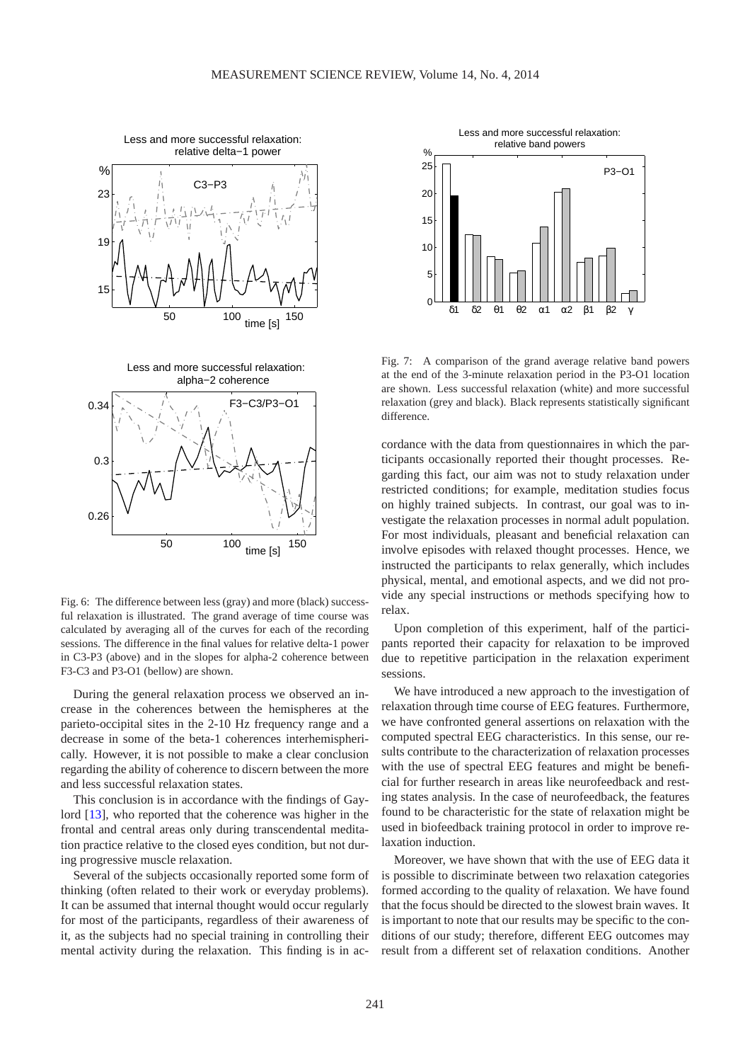<span id="page-4-0"></span>

Fig. 6: The difference between less (gray) and more (black) successful relaxation is illustrated. The grand average of time course was calculated by averaging all of the curves for each of the recording sessions. The difference in the final values for relative delta-1 power in C3-P3 (above) and in the slopes for alpha-2 coherence between F3-C3 and P3-O1 (bellow) are shown.

During the general relaxation process we observed an increase in the coherences between the hemispheres at the parieto-occipital sites in the 2-10 Hz frequency range and a decrease in some of the beta-1 coherences interhemispherically. However, it is not possible to make a clear conclusion regarding the ability of coherence to discern between the more and less successful relaxation states.

This conclusion is in accordance with the findings of Gaylord [\[13\]](#page-5-12), who reported that the coherence was higher in the frontal and central areas only during transcendental meditation practice relative to the closed eyes condition, but not during progressive muscle relaxation.

Several of the subjects occasionally reported some form of thinking (often related to their work or everyday problems). It can be assumed that internal thought would occur regularly for most of the participants, regardless of their awareness of it, as the subjects had no special training in controlling their mental activity during the relaxation. This finding is in ac-

<span id="page-4-1"></span>

Fig. 7: A comparison of the grand average relative band powers at the end of the 3-minute relaxation period in the P3-O1 location are shown. Less successful relaxation (white) and more successful relaxation (grey and black). Black represents statistically significant difference.

cordance with the data from questionnaires in which the participants occasionally reported their thought processes. Regarding this fact, our aim was not to study relaxation under restricted conditions; for example, meditation studies focus on highly trained subjects. In contrast, our goal was to investigate the relaxation processes in normal adult population. For most individuals, pleasant and beneficial relaxation can involve episodes with relaxed thought processes. Hence, we instructed the participants to relax generally, which includes physical, mental, and emotional aspects, and we did not provide any special instructions or methods specifying how to relax.

Upon completion of this experiment, half of the participants reported their capacity for relaxation to be improved due to repetitive participation in the relaxation experiment sessions.

We have introduced a new approach to the investigation of relaxation through time course of EEG features. Furthermore, we have confronted general assertions on relaxation with the computed spectral EEG characteristics. In this sense, our results contribute to the characterization of relaxation processes with the use of spectral EEG features and might be beneficial for further research in areas like neurofeedback and resting states analysis. In the case of neurofeedback, the features found to be characteristic for the state of relaxation might be used in biofeedback training protocol in order to improve relaxation induction.

Moreover, we have shown that with the use of EEG data it is possible to discriminate between two relaxation categories formed according to the quality of relaxation. We have found that the focus should be directed to the slowest brain waves. It is important to note that our results may be specific to the conditions of our study; therefore, different EEG outcomes may result from a different set of relaxation conditions. Another